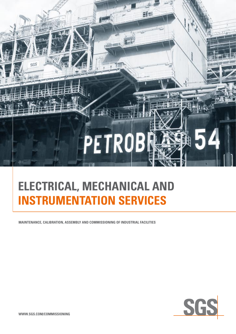

# **ELECTRICAL, MECHANICAL and INSTRUMENTATION SERVICES**

**MAINTENANCE, CALIBRATION, ASSEMBLY AND COMMISSIONING OF INDUSTRIAL FACILITIES**

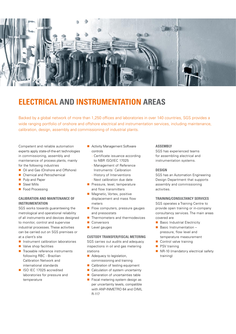

# **ELECTRICAL AND INSTRUMENTATION AREAS**

Backed by a global network of more than 1,250 offices and laboratories in over 140 countries, SGS provides a wide ranging portfolio of onshore and offshore electrical and instrumentation services, including maintenance, calibration, design, assembly and commissioning of industrial plants.

Competent and reliable automation experts apply state-of-the-art technologies in commissioning, assembly and maintenance of process plants, mainly for the following industries

- Oil and Gas (Onshore and Offshore)
- Chemical and Petrochemical
- **n** Pulp and Paper
- $\blacksquare$  Steel Mills
- Food Processing

## **Calibration and Maintenance OF INSTRUMENTATION**

SGS works towards guaranteeing the metrological and operational reliability of all instruments and devices designed to monitor, control and supervise industrial processes. These activities can be carried out on SGS premises or at a client's site

- n Instrument calibration laboratories
- $\blacksquare$  Valve shop facilities
- $\blacksquare$  Traceable reference instruments following RBC - Brazilian Calibration Network and international standards
- ISO IEC 17025 accredited laboratories for pressure and temperature
- **n** Activity Management Software controls
	- Certificate issuance according to NBR ISO/IEC 17025
	- Management of Reference Instruments´ Calibration
	- History of Interventions
	- Next calibration due date
- 
- Pressure, level, temperature and flow transmitters
- Magnetic, Vortex, positive displacement and mass flow meters
- $\blacksquare$  Flow computers, pressure gauges and pressostats
- $\blacksquare$  Thermometers and thermodevices
- Conversors
- **Level gauges**

**Custody Transfer/Fiscal Metering** SGS carries out audits and adequacy inspections in oil and gas metering stations

- $\blacksquare$  Adequacy to legislation, commissioning and training
- Calibration of testing equipment
- $\blacksquare$  Calculation of system uncertainty
- Generation of uncertainties table
- $\blacksquare$  Fiscal metering system design as per uncertainty levels, compatible with ANP-INMETRO 64 and OIML R-117

### **ASSEMBIY**

SGS has experienced teams for assembling electrical and instrumentation systems.

### **Design**

SGS has an Automation Engineering Design Department that supports assembly and commissioning activities.

### **Training/Consultancy services**

SGS operates a Training Centre to provide open training or in-company consultancy services. The main areas covered are

- $\blacksquare$  Basic Industrial Electricity
- $\blacksquare$  Basic Instrumentation pressure, flow level and temperature measurement
- $\Box$  Control valve training
- PSV training
- $N<sub>R</sub>$ -10 (mandatory electrical safety training)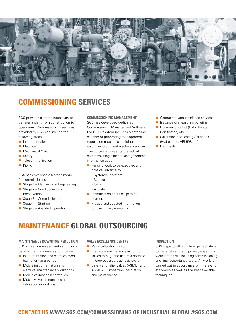

# **COMMISSIONING SERVICES**

SGS provides all tests necessary to transfer a plant from construction to operations. Commissioning services provided by SGS can include the following areas

- **n** Instrumentation
- **n** Electrical
- Mechanical / VAC
- **n** Safety
- Telecommunication
- $\blacksquare$  Piping

### SGS has developed a 5-stage model for commissioning

- Stage  $1$  Planning and Engineering
- Stage  $2$  Conditioning and Preservation
- Stage  $3 -$  Commissioning
- Stage  $4 -$  Start up
- Stage  $5 -$  Assisted Operation

### **Commissioning management**

SGS has developed dedicated Commissioning Management Software; the C.R.I. system includes a database capable of generating management reports on mechanical, piping, instrumentation and electrical services. The software presents the actual commissioning situation and generates information about

- Pending work to be executed and physical advance by
	- System/subsystem
	- Subject
	-
	- Item
	- Activity
- $\blacksquare$  Identification of critical path for start up
- Precise and updated information for use in daily meetings
- $\blacksquare$  Contracted versus finished services
- Issuance of measuring bulletins
- Document control (Data Sheets, Certificates, etc.)
- **n** Calibration and Testing Situations (Hydrostatic, API 598 etc)
- **Loop Tests**

**MAINTENANCE GLOBAL OUTSOURCING**

### **Maintenance Downtime Reduction**

SGS is well organised and can quickly be at a client's premises to provide

- $\blacksquare$  Instrumentation and electrical work teams for turnarounds
- **n** Mobile instrumentation and electrical maintenance workshops
- $\blacksquare$  Mobile calibration laboratories
- $\blacksquare$  Mobile valve maintenance and calibration workshops

### **Valve Excellence Centre**

- $\blacksquare$  Valve calibration in-situ
- $\blacksquare$  Predictive maintenance in control valves through the use of a portable microprocessed diagnosis system
- Safety and relief valves (ASME I and ASME VIII) inspection, calibration and maintenance

### **Inspection**

SGS inspects all work from project stage to materials and equipment, assembly work in the field including commissioning and final acceptance tests. All work is carried out in accordance with relevant standards as well as the best available techniques.